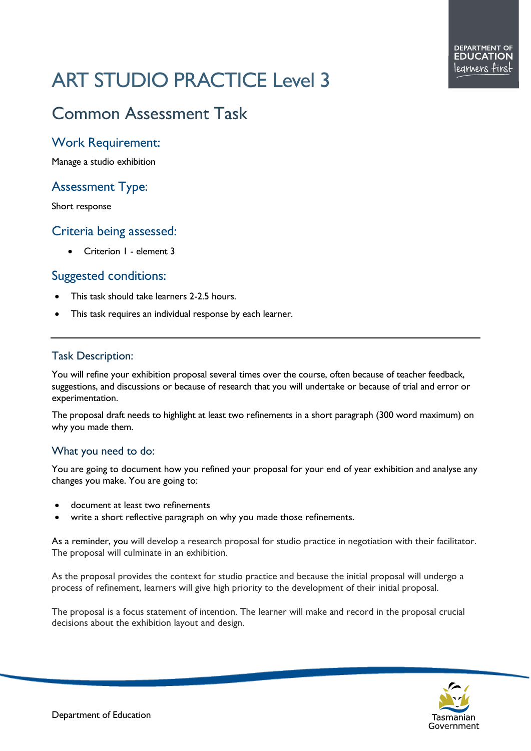# ART STUDIO PRACTICE Level 3

# Common Assessment Task

## Work Requirement:

Manage a studio exhibition

# Assessment Type:

Short response

### Criteria being assessed:

• Criterion 1 - element 3

### Suggested conditions:

- This task should take learners 2-2.5 hours.
- This task requires an individual response by each learner.

#### Task Description:

You will refine your exhibition proposal several times over the course, often because of teacher feedback, suggestions, and discussions or because of research that you will undertake or because of trial and error or experimentation.

The proposal draft needs to highlight at least two refinements in a short paragraph (300 word maximum) on why you made them.

#### What you need to do:

You are going to document how you refined your proposal for your end of year exhibition and analyse any changes you make. You are going to:

- document at least two refinements
- write a short reflective paragraph on why you made those refinements.

As a reminder, you will develop a research proposal for studio practice in negotiation with their facilitator. The proposal will culminate in an exhibition.

As the proposal provides the context for studio practice and because the initial proposal will undergo a process of refinement, learners will give high priority to the development of their initial proposal.

The proposal is a focus statement of intention. The learner will make and record in the proposal crucial decisions about the exhibition layout and design.